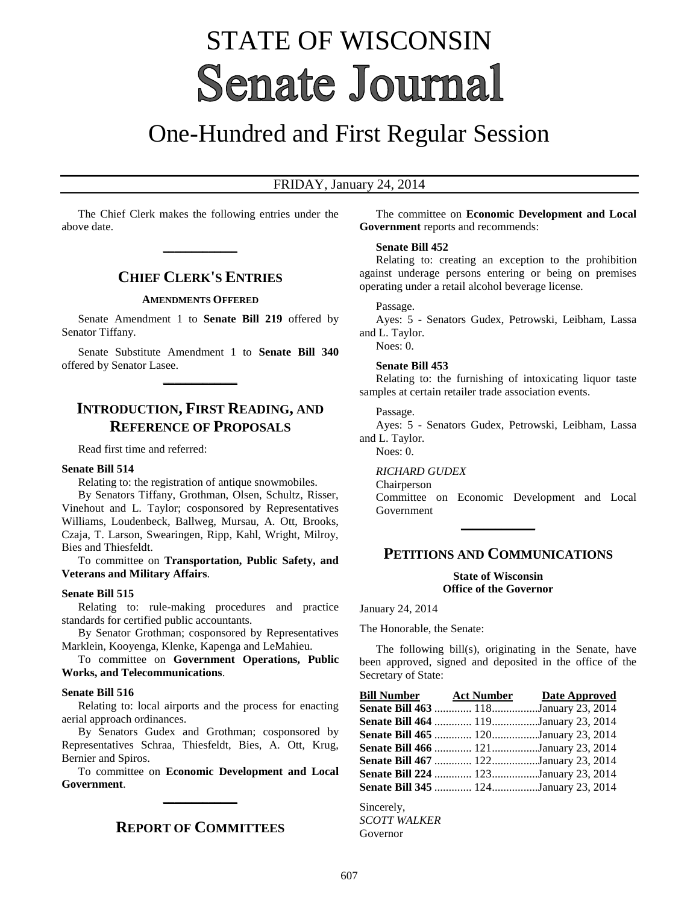# STATE OF WISCONSIN **Senate Journal**

## One-Hundred and First Regular Session

## FRIDAY, January 24, 2014

The Chief Clerk makes the following entries under the above date.

**\_\_\_\_\_\_\_\_\_\_\_\_\_**

## **CHIEF CLERK'S ENTRIES**

#### **AMENDMENTS OFFERED**

Senate Amendment 1 to **Senate Bill 219** offered by Senator Tiffany.

Senate Substitute Amendment 1 to **Senate Bill 340** offered by Senator Lasee. **\_\_\_\_\_\_\_\_\_\_\_\_\_**

## **INTRODUCTION, FIRST READING, AND REFERENCE OF PROPOSALS**

Read first time and referred:

#### **Senate Bill 514**

Relating to: the registration of antique snowmobiles.

By Senators Tiffany, Grothman, Olsen, Schultz, Risser, Vinehout and L. Taylor; cosponsored by Representatives Williams, Loudenbeck, Ballweg, Mursau, A. Ott, Brooks, Czaja, T. Larson, Swearingen, Ripp, Kahl, Wright, Milroy, Bies and Thiesfeldt.

To committee on **Transportation, Public Safety, and Veterans and Military Affairs**.

#### **Senate Bill 515**

Relating to: rule-making procedures and practice standards for certified public accountants.

By Senator Grothman; cosponsored by Representatives Marklein, Kooyenga, Klenke, Kapenga and LeMahieu.

To committee on **Government Operations, Public Works, and Telecommunications**.

### **Senate Bill 516**

Relating to: local airports and the process for enacting aerial approach ordinances.

By Senators Gudex and Grothman; cosponsored by Representatives Schraa, Thiesfeldt, Bies, A. Ott, Krug, Bernier and Spiros.

To committee on **Economic Development and Local Government**. **\_\_\_\_\_\_\_\_\_\_\_\_\_**

## **REPORT OF COMMITTEES**

The committee on **Economic Development and Local Government** reports and recommends:

#### **Senate Bill 452**

Relating to: creating an exception to the prohibition against underage persons entering or being on premises operating under a retail alcohol beverage license.

#### Passage.

Ayes: 5 - Senators Gudex, Petrowski, Leibham, Lassa and L. Taylor.

Noes: 0.

## **Senate Bill 453**

Relating to: the furnishing of intoxicating liquor taste samples at certain retailer trade association events.

#### Passage.

Ayes: 5 - Senators Gudex, Petrowski, Leibham, Lassa and L. Taylor.

Noes: 0.

## *RICHARD GUDEX*

Chairperson

Committee on Economic Development and Local Government

## **PETITIONS AND COMMUNICATIONS**

**\_\_\_\_\_\_\_\_\_\_\_\_\_**

## **State of Wisconsin Office of the Governor**

January 24, 2014

The Honorable, the Senate:

The following bill(s), originating in the Senate, have been approved, signed and deposited in the office of the Secretary of State:

|  | <b>Bill Number</b> Act Number Date Approved  |
|--|----------------------------------------------|
|  | Senate Bill 463  118 January 23, 2014        |
|  | Senate Bill 464  119 January 23, 2014        |
|  | <b>Senate Bill 465</b> 120January 23, 2014   |
|  | <b>Senate Bill 466</b> 121 January 23, 2014  |
|  | <b>Senate Bill 467</b> 122January 23, 2014   |
|  | <b>Senate Bill 224</b> 123 January 23, 2014  |
|  | <b>Senate Bill 345 </b> 124 January 23, 2014 |

Sincerely, *SCOTT WALKER* Governor